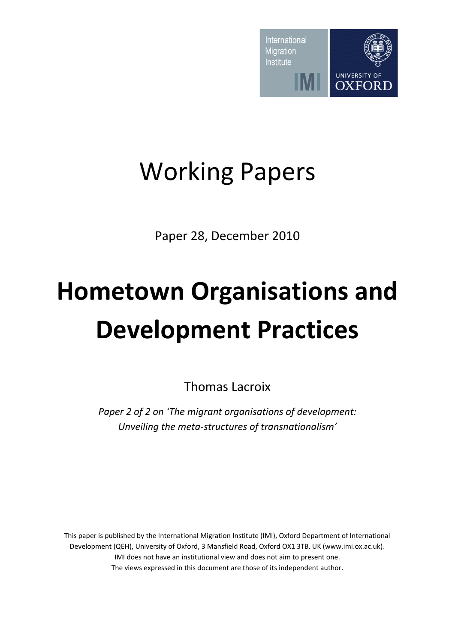

# Working Papers

Paper 28, December 2010

# **Hometown Organisations and Development Practices**

Thomas Lacroix

*Paper 2 of 2 on 'The migrant organisations of development: Unveiling the meta-structures of transnationalism'*

This paper is published by the International Migration Institute (IMI), Oxford Department of International Development (QEH), University of Oxford, 3 Mansfield Road, Oxford OX1 3TB, UK (www.imi.ox.ac.uk). IMI does not have an institutional view and does not aim to present one. The views expressed in this document are those of its independent author.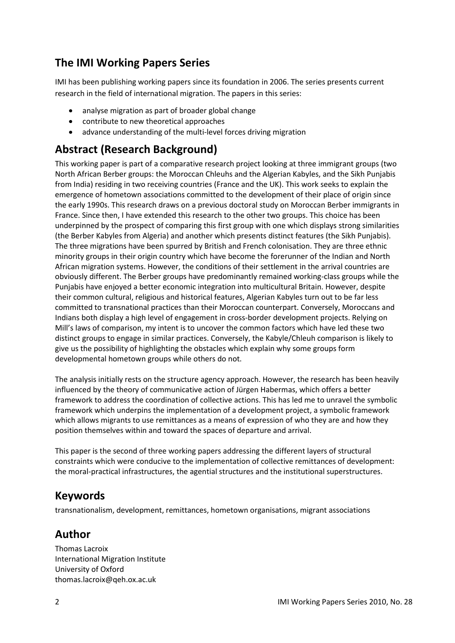# **The IMI Working Papers Series**

IMI has been publishing working papers since its foundation in 2006. The series presents current research in the field of international migration. The papers in this series:

- analyse migration as part of broader global change
- contribute to new theoretical approaches
- advance understanding of the multi-level forces driving migration

# **Abstract (Research Background)**

This working paper is part of a comparative research project looking at three immigrant groups (two North African Berber groups: the Moroccan Chleuhs and the Algerian Kabyles, and the Sikh Punjabis from India) residing in two receiving countries (France and the UK). This work seeks to explain the emergence of hometown associations committed to the development of their place of origin since the early 1990s. This research draws on a previous doctoral study on Moroccan Berber immigrants in France. Since then, I have extended this research to the other two groups. This choice has been underpinned by the prospect of comparing this first group with one which displays strong similarities (the Berber Kabyles from Algeria) and another which presents distinct features (the Sikh Punjabis). The three migrations have been spurred by British and French colonisation. They are three ethnic minority groups in their origin country which have become the forerunner of the Indian and North African migration systems. However, the conditions of their settlement in the arrival countries are obviously different. The Berber groups have predominantly remained working-class groups while the Punjabis have enjoyed a better economic integration into multicultural Britain. However, despite their common cultural, religious and historical features, Algerian Kabyles turn out to be far less committed to transnational practices than their Moroccan counterpart. Conversely, Moroccans and Indians both display a high level of engagement in cross-border development projects. Relying on Mill's laws of comparison, my intent is to uncover the common factors which have led these two distinct groups to engage in similar practices. Conversely, the Kabyle/Chleuh comparison is likely to give us the possibility of highlighting the obstacles which explain why some groups form developmental hometown groups while others do not.

The analysis initially rests on the structure agency approach. However, the research has been heavily influenced by the theory of communicative action of Jürgen Habermas, which offers a better framework to address the coordination of collective actions. This has led me to unravel the symbolic framework which underpins the implementation of a development project, a symbolic framework which allows migrants to use remittances as a means of expression of who they are and how they position themselves within and toward the spaces of departure and arrival.

This paper is the second of three working papers addressing the different layers of structural constraints which were conducive to the implementation of collective remittances of development: the moral-practical infrastructures, the agential structures and the institutional superstructures.

# **Keywords**

transnationalism, development, remittances, hometown organisations, migrant associations

# **Author**

Thomas Lacroix International Migration Institute University of Oxford thomas.lacroix@qeh.ox.ac.uk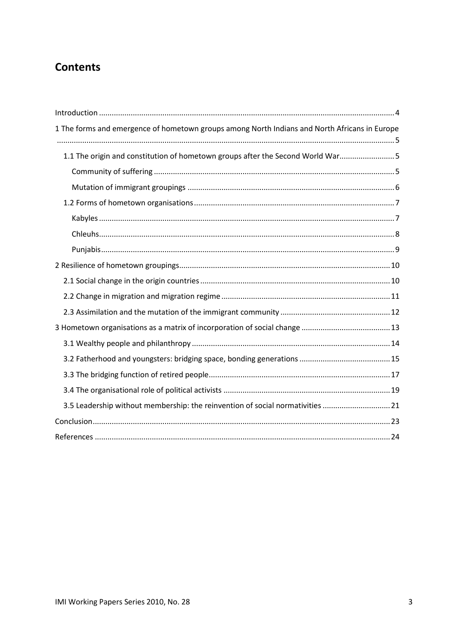# **Contents**

| 1 The forms and emergence of hometown groups among North Indians and North Africans in Europe |  |
|-----------------------------------------------------------------------------------------------|--|
| 1.1 The origin and constitution of hometown groups after the Second World War5                |  |
|                                                                                               |  |
|                                                                                               |  |
|                                                                                               |  |
|                                                                                               |  |
|                                                                                               |  |
|                                                                                               |  |
|                                                                                               |  |
|                                                                                               |  |
|                                                                                               |  |
|                                                                                               |  |
|                                                                                               |  |
|                                                                                               |  |
|                                                                                               |  |
|                                                                                               |  |
|                                                                                               |  |
| 3.5 Leadership without membership: the reinvention of social normativities  21                |  |
|                                                                                               |  |
|                                                                                               |  |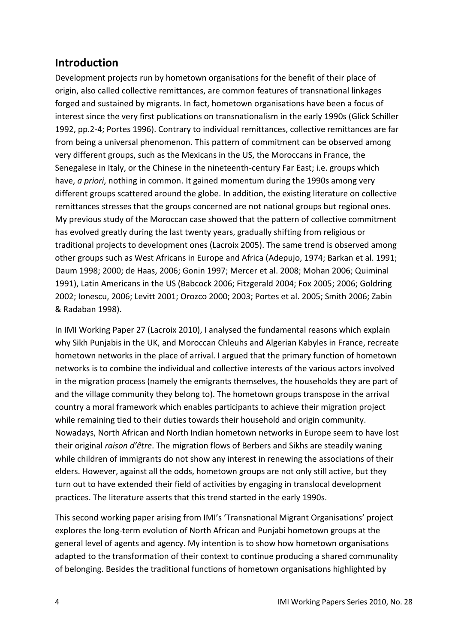# <span id="page-3-0"></span>**Introduction**

Development projects run by hometown organisations for the benefit of their place of origin, also called collective remittances, are common features of transnational linkages forged and sustained by migrants. In fact, hometown organisations have been a focus of interest since the very first publications on transnationalism in the early 1990s (Glick Schiller 1992, pp.2-4; Portes 1996). Contrary to individual remittances, collective remittances are far from being a universal phenomenon. This pattern of commitment can be observed among very different groups, such as the Mexicans in the US, the Moroccans in France, the Senegalese in Italy, or the Chinese in the nineteenth-century Far East; i.e. groups which have, *a priori*, nothing in common. It gained momentum during the 1990s among very different groups scattered around the globe. In addition, the existing literature on collective remittances stresses that the groups concerned are not national groups but regional ones. My previous study of the Moroccan case showed that the pattern of collective commitment has evolved greatly during the last twenty years, gradually shifting from religious or traditional projects to development ones (Lacroix 2005). The same trend is observed among other groups such as West Africans in Europe and Africa (Adepujo, 1974; Barkan et al. 1991; Daum 1998; 2000; de Haas, 2006; Gonin 1997; Mercer et al. 2008; Mohan 2006; Quiminal 1991), Latin Americans in the US (Babcock 2006; Fitzgerald 2004; Fox 2005; 2006; Goldring 2002; Ionescu, 2006; Levitt 2001; Orozco 2000; 2003; Portes et al. 2005; Smith 2006; Zabin & Radaban 1998).

In IMI Working Paper 27 (Lacroix 2010), I analysed the fundamental reasons which explain why Sikh Punjabis in the UK, and Moroccan Chleuhs and Algerian Kabyles in France, recreate hometown networks in the place of arrival. I argued that the primary function of hometown networks is to combine the individual and collective interests of the various actors involved in the migration process (namely the emigrants themselves, the households they are part of and the village community they belong to). The hometown groups transpose in the arrival country a moral framework which enables participants to achieve their migration project while remaining tied to their duties towards their household and origin community. Nowadays, North African and North Indian hometown networks in Europe seem to have lost their original *raison d'être*. The migration flows of Berbers and Sikhs are steadily waning while children of immigrants do not show any interest in renewing the associations of their elders. However, against all the odds, hometown groups are not only still active, but they turn out to have extended their field of activities by engaging in translocal development practices. The literature asserts that this trend started in the early 1990s.

This second working paper arising from IMI's 'Transnational Migrant Organisations' project explores the long-term evolution of North African and Punjabi hometown groups at the general level of agents and agency. My intention is to show how hometown organisations adapted to the transformation of their context to continue producing a shared communality of belonging. Besides the traditional functions of hometown organisations highlighted by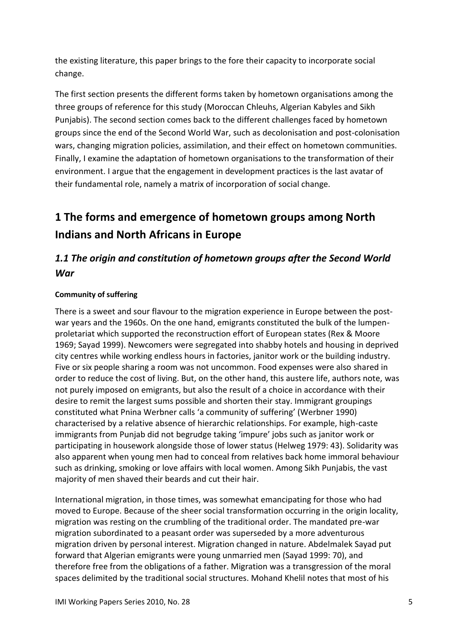the existing literature, this paper brings to the fore their capacity to incorporate social change.

The first section presents the different forms taken by hometown organisations among the three groups of reference for this study (Moroccan Chleuhs, Algerian Kabyles and Sikh Punjabis). The second section comes back to the different challenges faced by hometown groups since the end of the Second World War, such as decolonisation and post-colonisation wars, changing migration policies, assimilation, and their effect on hometown communities. Finally, I examine the adaptation of hometown organisations to the transformation of their environment. I argue that the engagement in development practices is the last avatar of their fundamental role, namely a matrix of incorporation of social change.

# <span id="page-4-0"></span>**1 The forms and emergence of hometown groups among North Indians and North Africans in Europe**

# <span id="page-4-1"></span>*1.1 The origin and constitution of hometown groups after the Second World War*

#### <span id="page-4-2"></span>**Community of suffering**

There is a sweet and sour flavour to the migration experience in Europe between the postwar years and the 1960s. On the one hand, emigrants constituted the bulk of the lumpenproletariat which supported the reconstruction effort of European states (Rex & Moore 1969; Sayad 1999). Newcomers were segregated into shabby hotels and housing in deprived city centres while working endless hours in factories, janitor work or the building industry. Five or six people sharing a room was not uncommon. Food expenses were also shared in order to reduce the cost of living. But, on the other hand, this austere life, authors note, was not purely imposed on emigrants, but also the result of a choice in accordance with their desire to remit the largest sums possible and shorten their stay. Immigrant groupings constituted what Pnina Werbner calls 'a community of suffering' (Werbner 1990) characterised by a relative absence of hierarchic relationships. For example, high-caste immigrants from Punjab did not begrudge taking 'impure' jobs such as janitor work or participating in housework alongside those of lower status (Helweg 1979: 43). Solidarity was also apparent when young men had to conceal from relatives back home immoral behaviour such as drinking, smoking or love affairs with local women. Among Sikh Punjabis, the vast majority of men shaved their beards and cut their hair.

International migration, in those times, was somewhat emancipating for those who had moved to Europe. Because of the sheer social transformation occurring in the origin locality, migration was resting on the crumbling of the traditional order. The mandated pre-war migration subordinated to a peasant order was superseded by a more adventurous migration driven by personal interest. Migration changed in nature. Abdelmalek Sayad put forward that Algerian emigrants were young unmarried men (Sayad 1999: 70), and therefore free from the obligations of a father. Migration was a transgression of the moral spaces delimited by the traditional social structures. Mohand Khelil notes that most of his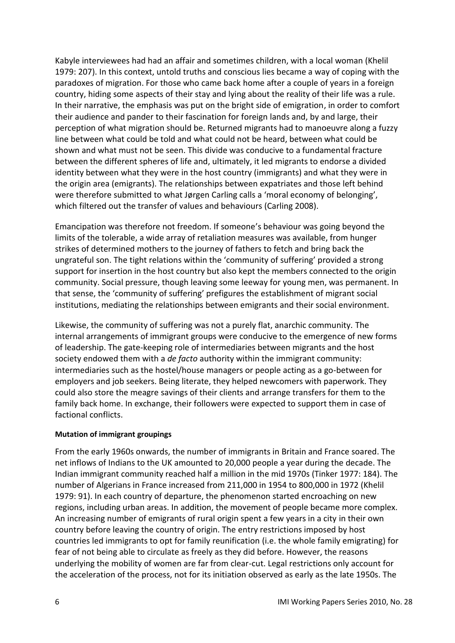Kabyle interviewees had had an affair and sometimes children, with a local woman (Khelil 1979: 207). In this context, untold truths and conscious lies became a way of coping with the paradoxes of migration. For those who came back home after a couple of years in a foreign country, hiding some aspects of their stay and lying about the reality of their life was a rule. In their narrative, the emphasis was put on the bright side of emigration, in order to comfort their audience and pander to their fascination for foreign lands and, by and large, their perception of what migration should be. Returned migrants had to manoeuvre along a fuzzy line between what could be told and what could not be heard, between what could be shown and what must not be seen. This divide was conducive to a fundamental fracture between the different spheres of life and, ultimately, it led migrants to endorse a divided identity between what they were in the host country (immigrants) and what they were in the origin area (emigrants). The relationships between expatriates and those left behind were therefore submitted to what Jørgen Carling calls a 'moral economy of belonging', which filtered out the transfer of values and behaviours (Carling 2008).

Emancipation was therefore not freedom. If someone's behaviour was going beyond the limits of the tolerable, a wide array of retaliation measures was available, from hunger strikes of determined mothers to the journey of fathers to fetch and bring back the ungrateful son. The tight relations within the 'community of suffering' provided a strong support for insertion in the host country but also kept the members connected to the origin community. Social pressure, though leaving some leeway for young men, was permanent. In that sense, the 'community of suffering' prefigures the establishment of migrant social institutions, mediating the relationships between emigrants and their social environment.

Likewise, the community of suffering was not a purely flat, anarchic community. The internal arrangements of immigrant groups were conducive to the emergence of new forms of leadership. The gate-keeping role of intermediaries between migrants and the host society endowed them with a *de facto* authority within the immigrant community: intermediaries such as the hostel/house managers or people acting as a go-between for employers and job seekers. Being literate, they helped newcomers with paperwork. They could also store the meagre savings of their clients and arrange transfers for them to the family back home. In exchange, their followers were expected to support them in case of factional conflicts.

#### <span id="page-5-0"></span>**Mutation of immigrant groupings**

From the early 1960s onwards, the number of immigrants in Britain and France soared. The net inflows of Indians to the UK amounted to 20,000 people a year during the decade. The Indian immigrant community reached half a million in the mid 1970s (Tinker 1977: 184). The number of Algerians in France increased from 211,000 in 1954 to 800,000 in 1972 (Khelil 1979: 91). In each country of departure, the phenomenon started encroaching on new regions, including urban areas. In addition, the movement of people became more complex. An increasing number of emigrants of rural origin spent a few years in a city in their own country before leaving the country of origin. The entry restrictions imposed by host countries led immigrants to opt for family reunification (i.e. the whole family emigrating) for fear of not being able to circulate as freely as they did before. However, the reasons underlying the mobility of women are far from clear-cut. Legal restrictions only account for the acceleration of the process, not for its initiation observed as early as the late 1950s. The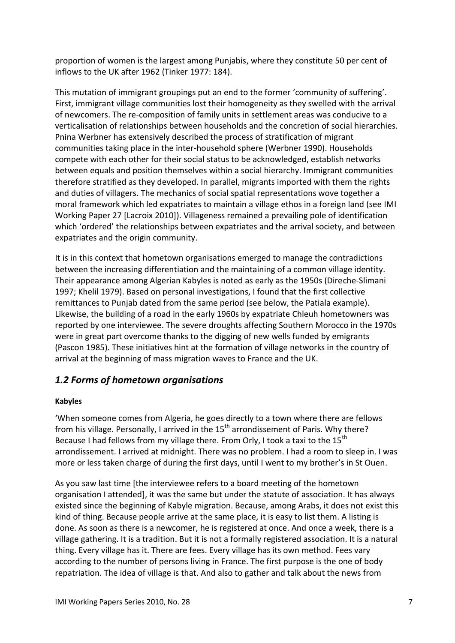proportion of women is the largest among Punjabis, where they constitute 50 per cent of inflows to the UK after 1962 (Tinker 1977: 184).

This mutation of immigrant groupings put an end to the former 'community of suffering'. First, immigrant village communities lost their homogeneity as they swelled with the arrival of newcomers. The re-composition of family units in settlement areas was conducive to a verticalisation of relationships between households and the concretion of social hierarchies. Pnina Werbner has extensively described the process of stratification of migrant communities taking place in the inter-household sphere (Werbner 1990). Households compete with each other for their social status to be acknowledged, establish networks between equals and position themselves within a social hierarchy. Immigrant communities therefore stratified as they developed. In parallel, migrants imported with them the rights and duties of villagers. The mechanics of social spatial representations wove together a moral framework which led expatriates to maintain a village ethos in a foreign land (see IMI Working Paper 27 [Lacroix 2010]). Villageness remained a prevailing pole of identification which 'ordered' the relationships between expatriates and the arrival society, and between expatriates and the origin community.

It is in this context that hometown organisations emerged to manage the contradictions between the increasing differentiation and the maintaining of a common village identity. Their appearance among Algerian Kabyles is noted as early as the 1950s (Direche-Slimani 1997; Khelil 1979). Based on personal investigations, I found that the first collective remittances to Punjab dated from the same period (see below, the Patiala example). Likewise, the building of a road in the early 1960s by expatriate Chleuh hometowners was reported by one interviewee. The severe droughts affecting Southern Morocco in the 1970s were in great part overcome thanks to the digging of new wells funded by emigrants (Pascon 1985). These initiatives hint at the formation of village networks in the country of arrival at the beginning of mass migration waves to France and the UK.

## <span id="page-6-0"></span>*1.2 Forms of hometown organisations*

#### <span id="page-6-1"></span>**Kabyles**

'When someone comes from Algeria, he goes directly to a town where there are fellows from his village. Personally, I arrived in the  $15<sup>th</sup>$  arrondissement of Paris. Why there? Because I had fellows from my village there. From Orly, I took a taxi to the 15<sup>th</sup> arrondissement. I arrived at midnight. There was no problem. I had a room to sleep in. I was more or less taken charge of during the first days, until I went to my brother's in St Ouen.

As you saw last time [the interviewee refers to a board meeting of the hometown organisation I attended], it was the same but under the statute of association. It has always existed since the beginning of Kabyle migration. Because, among Arabs, it does not exist this kind of thing. Because people arrive at the same place, it is easy to list them. A listing is done. As soon as there is a newcomer, he is registered at once. And once a week, there is a village gathering. It is a tradition. But it is not a formally registered association. It is a natural thing. Every village has it. There are fees. Every village has its own method. Fees vary according to the number of persons living in France. The first purpose is the one of body repatriation. The idea of village is that. And also to gather and talk about the news from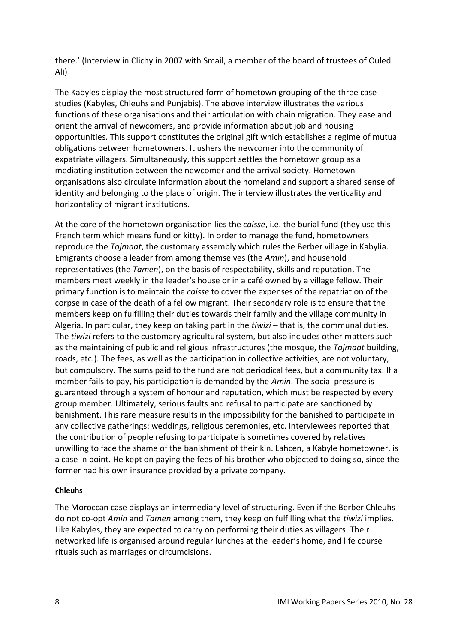there.' (Interview in Clichy in 2007 with Smail, a member of the board of trustees of Ouled Ali)

The Kabyles display the most structured form of hometown grouping of the three case studies (Kabyles, Chleuhs and Punjabis). The above interview illustrates the various functions of these organisations and their articulation with chain migration. They ease and orient the arrival of newcomers, and provide information about job and housing opportunities. This support constitutes the original gift which establishes a regime of mutual obligations between hometowners. It ushers the newcomer into the community of expatriate villagers. Simultaneously, this support settles the hometown group as a mediating institution between the newcomer and the arrival society. Hometown organisations also circulate information about the homeland and support a shared sense of identity and belonging to the place of origin. The interview illustrates the verticality and horizontality of migrant institutions.

At the core of the hometown organisation lies the *caisse*, i.e. the burial fund (they use this French term which means fund or kitty). In order to manage the fund, hometowners reproduce the *Tajmaat*, the customary assembly which rules the Berber village in Kabylia. Emigrants choose a leader from among themselves (the *Amin*), and household representatives (the *Tamen*), on the basis of respectability, skills and reputation. The members meet weekly in the leader's house or in a café owned by a village fellow. Their primary function is to maintain the *caisse* to cover the expenses of the repatriation of the corpse in case of the death of a fellow migrant. Their secondary role is to ensure that the members keep on fulfilling their duties towards their family and the village community in Algeria. In particular, they keep on taking part in the *tiwizi* – that is, the communal duties. The *tiwizi* refers to the customary agricultural system, but also includes other matters such as the maintaining of public and religious infrastructures (the mosque, the *Tajmaat* building, roads, etc.). The fees, as well as the participation in collective activities, are not voluntary, but compulsory. The sums paid to the fund are not periodical fees, but a community tax. If a member fails to pay, his participation is demanded by the *Amin*. The social pressure is guaranteed through a system of honour and reputation, which must be respected by every group member. Ultimately, serious faults and refusal to participate are sanctioned by banishment. This rare measure results in the impossibility for the banished to participate in any collective gatherings: weddings, religious ceremonies, etc. Interviewees reported that the contribution of people refusing to participate is sometimes covered by relatives unwilling to face the shame of the banishment of their kin. Lahcen, a Kabyle hometowner, is a case in point. He kept on paying the fees of his brother who objected to doing so, since the former had his own insurance provided by a private company.

#### <span id="page-7-0"></span>**Chleuhs**

The Moroccan case displays an intermediary level of structuring. Even if the Berber Chleuhs do not co-opt *Amin* and *Tamen* among them, they keep on fulfilling what the *tiwizi* implies. Like Kabyles, they are expected to carry on performing their duties as villagers. Their networked life is organised around regular lunches at the leader's home, and life course rituals such as marriages or circumcisions.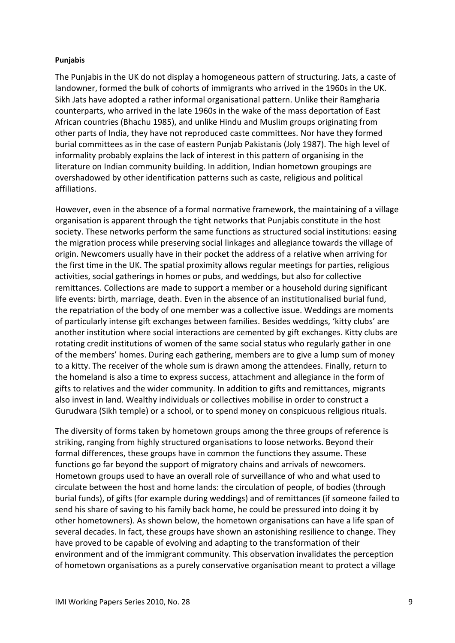#### <span id="page-8-0"></span>**Punjabis**

The Punjabis in the UK do not display a homogeneous pattern of structuring. Jats, a caste of landowner, formed the bulk of cohorts of immigrants who arrived in the 1960s in the UK. Sikh Jats have adopted a rather informal organisational pattern. Unlike their Ramgharia counterparts, who arrived in the late 1960s in the wake of the mass deportation of East African countries (Bhachu 1985), and unlike Hindu and Muslim groups originating from other parts of India, they have not reproduced caste committees. Nor have they formed burial committees as in the case of eastern Punjab Pakistanis (Joly 1987). The high level of informality probably explains the lack of interest in this pattern of organising in the literature on Indian community building. In addition, Indian hometown groupings are overshadowed by other identification patterns such as caste, religious and political affiliations.

However, even in the absence of a formal normative framework, the maintaining of a village organisation is apparent through the tight networks that Punjabis constitute in the host society. These networks perform the same functions as structured social institutions: easing the migration process while preserving social linkages and allegiance towards the village of origin. Newcomers usually have in their pocket the address of a relative when arriving for the first time in the UK. The spatial proximity allows regular meetings for parties, religious activities, social gatherings in homes or pubs, and weddings, but also for collective remittances. Collections are made to support a member or a household during significant life events: birth, marriage, death. Even in the absence of an institutionalised burial fund, the repatriation of the body of one member was a collective issue. Weddings are moments of particularly intense gift exchanges between families. Besides weddings, 'kitty clubs' are another institution where social interactions are cemented by gift exchanges. Kitty clubs are rotating credit institutions of women of the same social status who regularly gather in one of the members' homes. During each gathering, members are to give a lump sum of money to a kitty. The receiver of the whole sum is drawn among the attendees. Finally, return to the homeland is also a time to express success, attachment and allegiance in the form of gifts to relatives and the wider community. In addition to gifts and remittances, migrants also invest in land. Wealthy individuals or collectives mobilise in order to construct a Gurudwara (Sikh temple) or a school, or to spend money on conspicuous religious rituals.

The diversity of forms taken by hometown groups among the three groups of reference is striking, ranging from highly structured organisations to loose networks. Beyond their formal differences, these groups have in common the functions they assume. These functions go far beyond the support of migratory chains and arrivals of newcomers. Hometown groups used to have an overall role of surveillance of who and what used to circulate between the host and home lands: the circulation of people, of bodies (through burial funds), of gifts (for example during weddings) and of remittances (if someone failed to send his share of saving to his family back home, he could be pressured into doing it by other hometowners). As shown below, the hometown organisations can have a life span of several decades. In fact, these groups have shown an astonishing resilience to change. They have proved to be capable of evolving and adapting to the transformation of their environment and of the immigrant community. This observation invalidates the perception of hometown organisations as a purely conservative organisation meant to protect a village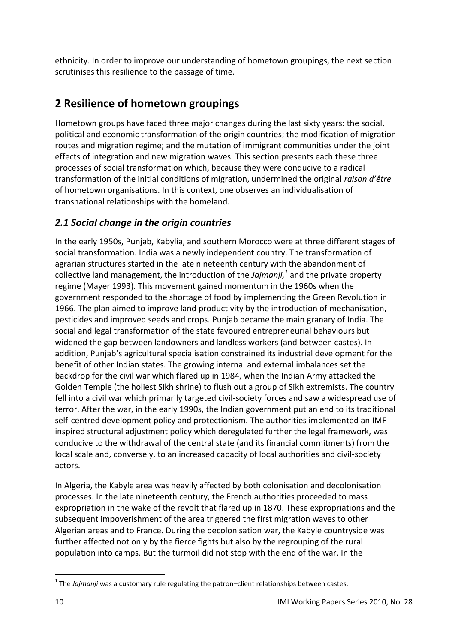ethnicity. In order to improve our understanding of hometown groupings, the next section scrutinises this resilience to the passage of time.

# <span id="page-9-0"></span>**2 Resilience of hometown groupings**

Hometown groups have faced three major changes during the last sixty years: the social, political and economic transformation of the origin countries; the modification of migration routes and migration regime; and the mutation of immigrant communities under the joint effects of integration and new migration waves. This section presents each these three processes of social transformation which, because they were conducive to a radical transformation of the initial conditions of migration, undermined the original *raison d'être*  of hometown organisations. In this context, one observes an individualisation of transnational relationships with the homeland.

# <span id="page-9-1"></span>*2.1 Social change in the origin countries*

In the early 1950s, Punjab, Kabylia, and southern Morocco were at three different stages of social transformation. India was a newly independent country. The transformation of agrarian structures started in the late nineteenth century with the abandonment of collective land management, the introduction of the *Jajmanji, 1* and the private property regime (Mayer 1993). This movement gained momentum in the 1960s when the government responded to the shortage of food by implementing the Green Revolution in 1966. The plan aimed to improve land productivity by the introduction of mechanisation, pesticides and improved seeds and crops. Punjab became the main granary of India. The social and legal transformation of the state favoured entrepreneurial behaviours but widened the gap between landowners and landless workers (and between castes). In addition, Punjab's agricultural specialisation constrained its industrial development for the benefit of other Indian states. The growing internal and external imbalances set the backdrop for the civil war which flared up in 1984, when the Indian Army attacked the Golden Temple (the holiest Sikh shrine) to flush out a group of Sikh extremists. The country fell into a civil war which primarily targeted civil-society forces and saw a widespread use of terror. After the war, in the early 1990s, the Indian government put an end to its traditional self-centred development policy and protectionism. The authorities implemented an IMFinspired structural adjustment policy which deregulated further the legal framework, was conducive to the withdrawal of the central state (and its financial commitments) from the local scale and, conversely, to an increased capacity of local authorities and civil-society actors.

In Algeria, the Kabyle area was heavily affected by both colonisation and decolonisation processes. In the late nineteenth century, the French authorities proceeded to mass expropriation in the wake of the revolt that flared up in 1870. These expropriations and the subsequent impoverishment of the area triggered the first migration waves to other Algerian areas and to France. During the decolonisation war, the Kabyle countryside was further affected not only by the fierce fights but also by the regrouping of the rural population into camps. But the turmoil did not stop with the end of the war. In the

**.** 

<sup>&</sup>lt;sup>1</sup> The Jajmanji was a customary rule regulating the patron–client relationships between castes.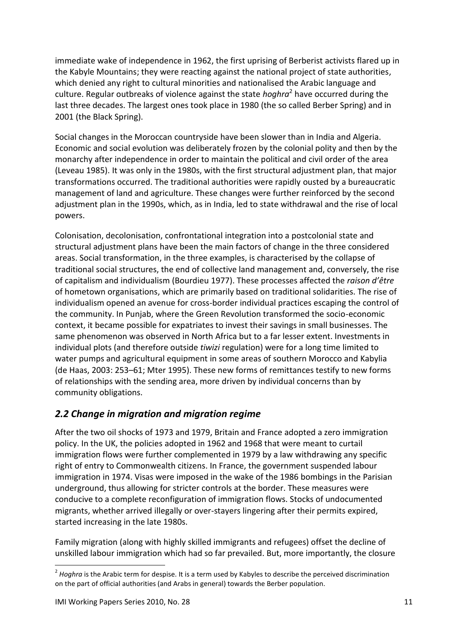immediate wake of independence in 1962, the first uprising of Berberist activists flared up in the Kabyle Mountains; they were reacting against the national project of state authorities, which denied any right to cultural minorities and nationalised the Arabic language and culture. Regular outbreaks of violence against the state *hoghra*<sup>2</sup> have occurred during the last three decades. The largest ones took place in 1980 (the so called Berber Spring) and in 2001 (the Black Spring).

Social changes in the Moroccan countryside have been slower than in India and Algeria. Economic and social evolution was deliberately frozen by the colonial polity and then by the monarchy after independence in order to maintain the political and civil order of the area (Leveau 1985). It was only in the 1980s, with the first structural adjustment plan, that major transformations occurred. The traditional authorities were rapidly ousted by a bureaucratic management of land and agriculture. These changes were further reinforced by the second adjustment plan in the 1990s, which, as in India, led to state withdrawal and the rise of local powers.

Colonisation, decolonisation, confrontational integration into a postcolonial state and structural adjustment plans have been the main factors of change in the three considered areas. Social transformation, in the three examples, is characterised by the collapse of traditional social structures, the end of collective land management and, conversely, the rise of capitalism and individualism (Bourdieu 1977). These processes affected the *raison d'être* of hometown organisations, which are primarily based on traditional solidarities. The rise of individualism opened an avenue for cross-border individual practices escaping the control of the community. In Punjab, where the Green Revolution transformed the socio-economic context, it became possible for expatriates to invest their savings in small businesses. The same phenomenon was observed in North Africa but to a far lesser extent. Investments in individual plots (and therefore outside *tiwizi* regulation) were for a long time limited to water pumps and agricultural equipment in some areas of southern Morocco and Kabylia (de Haas, 2003: 253–61; Mter 1995). These new forms of remittances testify to new forms of relationships with the sending area, more driven by individual concerns than by community obligations.

## <span id="page-10-0"></span>*2.2 Change in migration and migration regime*

After the two oil shocks of 1973 and 1979, Britain and France adopted a zero immigration policy. In the UK, the policies adopted in 1962 and 1968 that were meant to curtail immigration flows were further complemented in 1979 by a law withdrawing any specific right of entry to Commonwealth citizens. In France, the government suspended labour immigration in 1974. Visas were imposed in the wake of the 1986 bombings in the Parisian underground, thus allowing for stricter controls at the border. These measures were conducive to a complete reconfiguration of immigration flows. Stocks of undocumented migrants, whether arrived illegally or over-stayers lingering after their permits expired, started increasing in the late 1980s.

Family migration (along with highly skilled immigrants and refugees) offset the decline of unskilled labour immigration which had so far prevailed. But, more importantly, the closure

1

<sup>&</sup>lt;sup>2</sup> Hoghra is the Arabic term for despise. It is a term used by Kabyles to describe the perceived discrimination on the part of official authorities (and Arabs in general) towards the Berber population.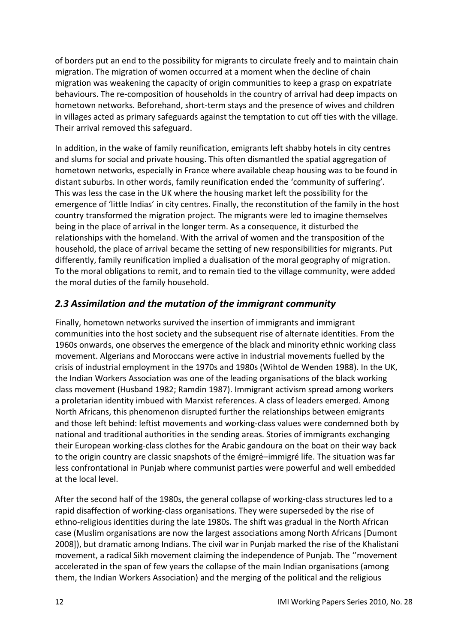of borders put an end to the possibility for migrants to circulate freely and to maintain chain migration. The migration of women occurred at a moment when the decline of chain migration was weakening the capacity of origin communities to keep a grasp on expatriate behaviours. The re-composition of households in the country of arrival had deep impacts on hometown networks. Beforehand, short-term stays and the presence of wives and children in villages acted as primary safeguards against the temptation to cut off ties with the village. Their arrival removed this safeguard.

In addition, in the wake of family reunification, emigrants left shabby hotels in city centres and slums for social and private housing. This often dismantled the spatial aggregation of hometown networks, especially in France where available cheap housing was to be found in distant suburbs. In other words, family reunification ended the 'community of suffering'. This was less the case in the UK where the housing market left the possibility for the emergence of 'little Indias' in city centres. Finally, the reconstitution of the family in the host country transformed the migration project. The migrants were led to imagine themselves being in the place of arrival in the longer term. As a consequence, it disturbed the relationships with the homeland. With the arrival of women and the transposition of the household, the place of arrival became the setting of new responsibilities for migrants. Put differently, family reunification implied a dualisation of the moral geography of migration. To the moral obligations to remit, and to remain tied to the village community, were added the moral duties of the family household.

## <span id="page-11-0"></span>*2.3 Assimilation and the mutation of the immigrant community*

Finally, hometown networks survived the insertion of immigrants and immigrant communities into the host society and the subsequent rise of alternate identities. From the 1960s onwards, one observes the emergence of the black and minority ethnic working class movement. Algerians and Moroccans were active in industrial movements fuelled by the crisis of industrial employment in the 1970s and 1980s (Wihtol de Wenden 1988). In the UK, the Indian Workers Association was one of the leading organisations of the black working class movement (Husband 1982; Ramdin 1987). Immigrant activism spread among workers a proletarian identity imbued with Marxist references. A class of leaders emerged. Among North Africans, this phenomenon disrupted further the relationships between emigrants and those left behind: leftist movements and working-class values were condemned both by national and traditional authorities in the sending areas. Stories of immigrants exchanging their European working-class clothes for the Arabic gandoura on the boat on their way back to the origin country are classic snapshots of the émigré–immigré life. The situation was far less confrontational in Punjab where communist parties were powerful and well embedded at the local level.

After the second half of the 1980s, the general collapse of working-class structures led to a rapid disaffection of working-class organisations. They were superseded by the rise of ethno-religious identities during the late 1980s. The shift was gradual in the North African case (Muslim organisations are now the largest associations among North Africans [Dumont 2008]), but dramatic among Indians. The civil war in Punjab marked the rise of the Khalistani movement, a radical Sikh movement claiming the independence of Punjab. The ''movement accelerated in the span of few years the collapse of the main Indian organisations (among them, the Indian Workers Association) and the merging of the political and the religious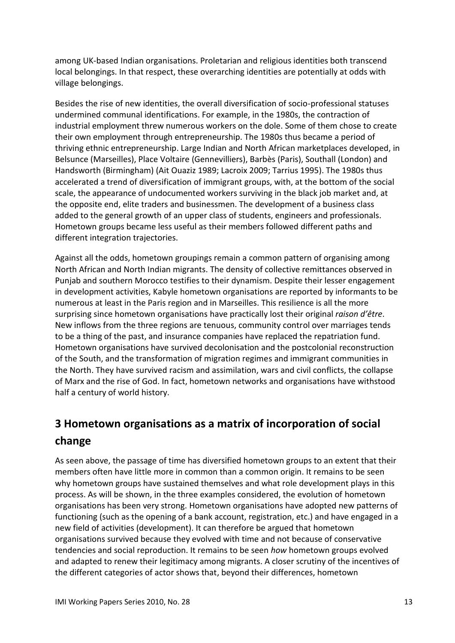among UK-based Indian organisations. Proletarian and religious identities both transcend local belongings. In that respect, these overarching identities are potentially at odds with village belongings.

Besides the rise of new identities, the overall diversification of socio-professional statuses undermined communal identifications. For example, in the 1980s, the contraction of industrial employment threw numerous workers on the dole. Some of them chose to create their own employment through entrepreneurship. The 1980s thus became a period of thriving ethnic entrepreneurship. Large Indian and North African marketplaces developed, in Belsunce (Marseilles), Place Voltaire (Gennevilliers), Barbès (Paris), Southall (London) and Handsworth (Birmingham) (Ait Ouaziz 1989; Lacroix 2009; Tarrius 1995). The 1980s thus accelerated a trend of diversification of immigrant groups, with, at the bottom of the social scale, the appearance of undocumented workers surviving in the black job market and, at the opposite end, elite traders and businessmen. The development of a business class added to the general growth of an upper class of students, engineers and professionals. Hometown groups became less useful as their members followed different paths and different integration trajectories.

Against all the odds, hometown groupings remain a common pattern of organising among North African and North Indian migrants. The density of collective remittances observed in Punjab and southern Morocco testifies to their dynamism. Despite their lesser engagement in development activities, Kabyle hometown organisations are reported by informants to be numerous at least in the Paris region and in Marseilles. This resilience is all the more surprising since hometown organisations have practically lost their original *raison d'être*. New inflows from the three regions are tenuous, community control over marriages tends to be a thing of the past, and insurance companies have replaced the repatriation fund. Hometown organisations have survived decolonisation and the postcolonial reconstruction of the South, and the transformation of migration regimes and immigrant communities in the North. They have survived racism and assimilation, wars and civil conflicts, the collapse of Marx and the rise of God. In fact, hometown networks and organisations have withstood half a century of world history.

# <span id="page-12-0"></span>**3 Hometown organisations as a matrix of incorporation of social change**

As seen above, the passage of time has diversified hometown groups to an extent that their members often have little more in common than a common origin. It remains to be seen why hometown groups have sustained themselves and what role development plays in this process. As will be shown, in the three examples considered, the evolution of hometown organisations has been very strong. Hometown organisations have adopted new patterns of functioning (such as the opening of a bank account, registration, etc.) and have engaged in a new field of activities (development). It can therefore be argued that hometown organisations survived because they evolved with time and not because of conservative tendencies and social reproduction. It remains to be seen *how* hometown groups evolved and adapted to renew their legitimacy among migrants. A closer scrutiny of the incentives of the different categories of actor shows that, beyond their differences, hometown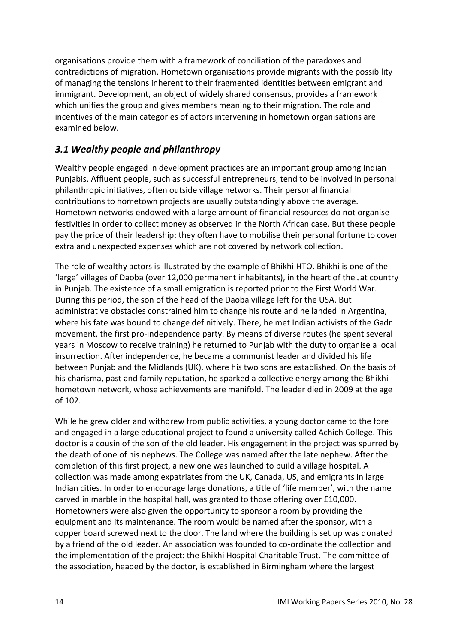organisations provide them with a framework of conciliation of the paradoxes and contradictions of migration. Hometown organisations provide migrants with the possibility of managing the tensions inherent to their fragmented identities between emigrant and immigrant. Development, an object of widely shared consensus, provides a framework which unifies the group and gives members meaning to their migration. The role and incentives of the main categories of actors intervening in hometown organisations are examined below.

## <span id="page-13-0"></span>*3.1 Wealthy people and philanthropy*

Wealthy people engaged in development practices are an important group among Indian Punjabis. Affluent people, such as successful entrepreneurs, tend to be involved in personal philanthropic initiatives, often outside village networks. Their personal financial contributions to hometown projects are usually outstandingly above the average. Hometown networks endowed with a large amount of financial resources do not organise festivities in order to collect money as observed in the North African case. But these people pay the price of their leadership: they often have to mobilise their personal fortune to cover extra and unexpected expenses which are not covered by network collection.

The role of wealthy actors is illustrated by the example of Bhikhi HTO. Bhikhi is one of the 'large' villages of Daoba (over 12,000 permanent inhabitants), in the heart of the Jat country in Punjab. The existence of a small emigration is reported prior to the First World War. During this period, the son of the head of the Daoba village left for the USA. But administrative obstacles constrained him to change his route and he landed in Argentina, where his fate was bound to change definitively. There, he met Indian activists of the Gadr movement, the first pro-independence party. By means of diverse routes (he spent several years in Moscow to receive training) he returned to Punjab with the duty to organise a local insurrection. After independence, he became a communist leader and divided his life between Punjab and the Midlands (UK), where his two sons are established. On the basis of his charisma, past and family reputation, he sparked a collective energy among the Bhikhi hometown network, whose achievements are manifold. The leader died in 2009 at the age of 102.

While he grew older and withdrew from public activities, a young doctor came to the fore and engaged in a large educational project to found a university called Achich College. This doctor is a cousin of the son of the old leader. His engagement in the project was spurred by the death of one of his nephews. The College was named after the late nephew. After the completion of this first project, a new one was launched to build a village hospital. A collection was made among expatriates from the UK, Canada, US, and emigrants in large Indian cities. In order to encourage large donations, a title of 'life member', with the name carved in marble in the hospital hall, was granted to those offering over £10,000. Hometowners were also given the opportunity to sponsor a room by providing the equipment and its maintenance. The room would be named after the sponsor, with a copper board screwed next to the door. The land where the building is set up was donated by a friend of the old leader. An association was founded to co-ordinate the collection and the implementation of the project: the Bhikhi Hospital Charitable Trust. The committee of the association, headed by the doctor, is established in Birmingham where the largest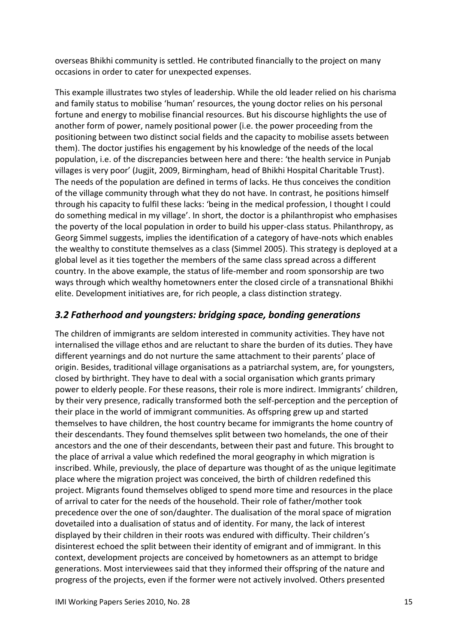overseas Bhikhi community is settled. He contributed financially to the project on many occasions in order to cater for unexpected expenses.

This example illustrates two styles of leadership. While the old leader relied on his charisma and family status to mobilise 'human' resources, the young doctor relies on his personal fortune and energy to mobilise financial resources. But his discourse highlights the use of another form of power, namely positional power (i.e. the power proceeding from the positioning between two distinct social fields and the capacity to mobilise assets between them). The doctor justifies his engagement by his knowledge of the needs of the local population, i.e. of the discrepancies between here and there: 'the health service in Punjab villages is very poor' (Jugjit, 2009, Birmingham, head of Bhikhi Hospital Charitable Trust). The needs of the population are defined in terms of lacks. He thus conceives the condition of the village community through what they do not have. In contrast, he positions himself through his capacity to fulfil these lacks: 'being in the medical profession, I thought I could do something medical in my village'. In short, the doctor is a philanthropist who emphasises the poverty of the local population in order to build his upper-class status. Philanthropy, as Georg Simmel suggests, implies the identification of a category of have-nots which enables the wealthy to constitute themselves as a class (Simmel 2005). This strategy is deployed at a global level as it ties together the members of the same class spread across a different country. In the above example, the status of life-member and room sponsorship are two ways through which wealthy hometowners enter the closed circle of a transnational Bhikhi elite. Development initiatives are, for rich people, a class distinction strategy.

### <span id="page-14-0"></span>*3.2 Fatherhood and youngsters: bridging space, bonding generations*

The children of immigrants are seldom interested in community activities. They have not internalised the village ethos and are reluctant to share the burden of its duties. They have different yearnings and do not nurture the same attachment to their parents' place of origin. Besides, traditional village organisations as a patriarchal system, are, for youngsters, closed by birthright. They have to deal with a social organisation which grants primary power to elderly people. For these reasons, their role is more indirect. Immigrants' children, by their very presence, radically transformed both the self-perception and the perception of their place in the world of immigrant communities. As offspring grew up and started themselves to have children, the host country became for immigrants the home country of their descendants. They found themselves split between two homelands, the one of their ancestors and the one of their descendants, between their past and future. This brought to the place of arrival a value which redefined the moral geography in which migration is inscribed. While, previously, the place of departure was thought of as the unique legitimate place where the migration project was conceived, the birth of children redefined this project. Migrants found themselves obliged to spend more time and resources in the place of arrival to cater for the needs of the household. Their role of father/mother took precedence over the one of son/daughter. The dualisation of the moral space of migration dovetailed into a dualisation of status and of identity. For many, the lack of interest displayed by their children in their roots was endured with difficulty. Their children's disinterest echoed the split between their identity of emigrant and of immigrant. In this context, development projects are conceived by hometowners as an attempt to bridge generations. Most interviewees said that they informed their offspring of the nature and progress of the projects, even if the former were not actively involved. Others presented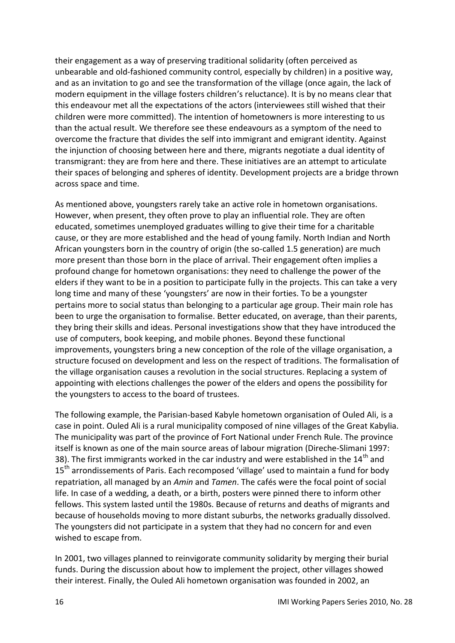their engagement as a way of preserving traditional solidarity (often perceived as unbearable and old-fashioned community control, especially by children) in a positive way, and as an invitation to go and see the transformation of the village (once again, the lack of modern equipment in the village fosters children's reluctance). It is by no means clear that this endeavour met all the expectations of the actors (interviewees still wished that their children were more committed). The intention of hometowners is more interesting to us than the actual result. We therefore see these endeavours as a symptom of the need to overcome the fracture that divides the self into immigrant and emigrant identity. Against the injunction of choosing between here and there, migrants negotiate a dual identity of transmigrant: they are from here and there. These initiatives are an attempt to articulate their spaces of belonging and spheres of identity. Development projects are a bridge thrown across space and time.

As mentioned above, youngsters rarely take an active role in hometown organisations. However, when present, they often prove to play an influential role. They are often educated, sometimes unemployed graduates willing to give their time for a charitable cause, or they are more established and the head of young family. North Indian and North African youngsters born in the country of origin (the so-called 1.5 generation) are much more present than those born in the place of arrival. Their engagement often implies a profound change for hometown organisations: they need to challenge the power of the elders if they want to be in a position to participate fully in the projects. This can take a very long time and many of these 'youngsters' are now in their forties. To be a youngster pertains more to social status than belonging to a particular age group. Their main role has been to urge the organisation to formalise. Better educated, on average, than their parents, they bring their skills and ideas. Personal investigations show that they have introduced the use of computers, book keeping, and mobile phones. Beyond these functional improvements, youngsters bring a new conception of the role of the village organisation, a structure focused on development and less on the respect of traditions. The formalisation of the village organisation causes a revolution in the social structures. Replacing a system of appointing with elections challenges the power of the elders and opens the possibility for the youngsters to access to the board of trustees.

The following example, the Parisian-based Kabyle hometown organisation of Ouled Ali, is a case in point. Ouled Ali is a rural municipality composed of nine villages of the Great Kabylia. The municipality was part of the province of Fort National under French Rule. The province itself is known as one of the main source areas of labour migration (Direche-Slimani 1997: 38). The first immigrants worked in the car industry and were established in the  $14<sup>th</sup>$  and 15<sup>th</sup> arrondissements of Paris. Each recomposed 'village' used to maintain a fund for body repatriation, all managed by an *Amin* and *Tamen*. The cafés were the focal point of social life. In case of a wedding, a death, or a birth, posters were pinned there to inform other fellows. This system lasted until the 1980s. Because of returns and deaths of migrants and because of households moving to more distant suburbs, the networks gradually dissolved. The youngsters did not participate in a system that they had no concern for and even wished to escape from.

In 2001, two villages planned to reinvigorate community solidarity by merging their burial funds. During the discussion about how to implement the project, other villages showed their interest. Finally, the Ouled Ali hometown organisation was founded in 2002, an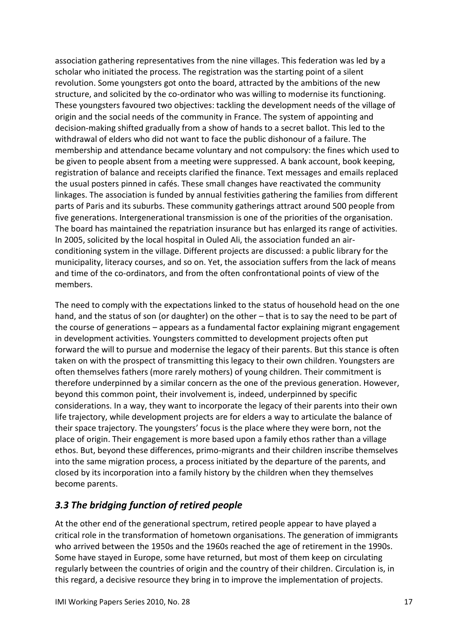association gathering representatives from the nine villages. This federation was led by a scholar who initiated the process. The registration was the starting point of a silent revolution. Some youngsters got onto the board, attracted by the ambitions of the new structure, and solicited by the co-ordinator who was willing to modernise its functioning. These youngsters favoured two objectives: tackling the development needs of the village of origin and the social needs of the community in France. The system of appointing and decision-making shifted gradually from a show of hands to a secret ballot. This led to the withdrawal of elders who did not want to face the public dishonour of a failure. The membership and attendance became voluntary and not compulsory: the fines which used to be given to people absent from a meeting were suppressed. A bank account, book keeping, registration of balance and receipts clarified the finance. Text messages and emails replaced the usual posters pinned in cafés. These small changes have reactivated the community linkages. The association is funded by annual festivities gathering the families from different parts of Paris and its suburbs. These community gatherings attract around 500 people from five generations. Intergenerational transmission is one of the priorities of the organisation. The board has maintained the repatriation insurance but has enlarged its range of activities. In 2005, solicited by the local hospital in Ouled Ali, the association funded an airconditioning system in the village. Different projects are discussed: a public library for the municipality, literacy courses, and so on. Yet, the association suffers from the lack of means and time of the co-ordinators, and from the often confrontational points of view of the members.

The need to comply with the expectations linked to the status of household head on the one hand, and the status of son (or daughter) on the other – that is to say the need to be part of the course of generations – appears as a fundamental factor explaining migrant engagement in development activities. Youngsters committed to development projects often put forward the will to pursue and modernise the legacy of their parents. But this stance is often taken on with the prospect of transmitting this legacy to their own children. Youngsters are often themselves fathers (more rarely mothers) of young children. Their commitment is therefore underpinned by a similar concern as the one of the previous generation. However, beyond this common point, their involvement is, indeed, underpinned by specific considerations. In a way, they want to incorporate the legacy of their parents into their own life trajectory, while development projects are for elders a way to articulate the balance of their space trajectory. The youngsters' focus is the place where they were born, not the place of origin. Their engagement is more based upon a family ethos rather than a village ethos. But, beyond these differences, primo-migrants and their children inscribe themselves into the same migration process, a process initiated by the departure of the parents, and closed by its incorporation into a family history by the children when they themselves become parents.

## <span id="page-16-0"></span>*3.3 The bridging function of retired people*

At the other end of the generational spectrum, retired people appear to have played a critical role in the transformation of hometown organisations. The generation of immigrants who arrived between the 1950s and the 1960s reached the age of retirement in the 1990s. Some have stayed in Europe, some have returned, but most of them keep on circulating regularly between the countries of origin and the country of their children. Circulation is, in this regard, a decisive resource they bring in to improve the implementation of projects.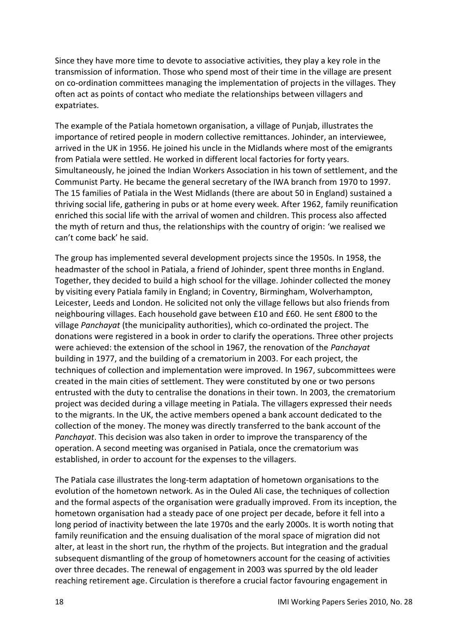Since they have more time to devote to associative activities, they play a key role in the transmission of information. Those who spend most of their time in the village are present on co-ordination committees managing the implementation of projects in the villages. They often act as points of contact who mediate the relationships between villagers and expatriates.

The example of the Patiala hometown organisation, a village of Punjab, illustrates the importance of retired people in modern collective remittances. Johinder, an interviewee, arrived in the UK in 1956. He joined his uncle in the Midlands where most of the emigrants from Patiala were settled. He worked in different local factories for forty years. Simultaneously, he joined the Indian Workers Association in his town of settlement, and the Communist Party. He became the general secretary of the IWA branch from 1970 to 1997. The 15 families of Patiala in the West Midlands (there are about 50 in England) sustained a thriving social life, gathering in pubs or at home every week. After 1962, family reunification enriched this social life with the arrival of women and children. This process also affected the myth of return and thus, the relationships with the country of origin: 'we realised we can't come back' he said.

The group has implemented several development projects since the 1950s. In 1958, the headmaster of the school in Patiala, a friend of Johinder, spent three months in England. Together, they decided to build a high school for the village. Johinder collected the money by visiting every Patiala family in England; in Coventry, Birmingham, Wolverhampton, Leicester, Leeds and London. He solicited not only the village fellows but also friends from neighbouring villages. Each household gave between £10 and £60. He sent £800 to the village *Panchayat* (the municipality authorities), which co-ordinated the project. The donations were registered in a book in order to clarify the operations. Three other projects were achieved: the extension of the school in 1967, the renovation of the *Panchayat*  building in 1977, and the building of a crematorium in 2003. For each project, the techniques of collection and implementation were improved. In 1967, subcommittees were created in the main cities of settlement. They were constituted by one or two persons entrusted with the duty to centralise the donations in their town. In 2003, the crematorium project was decided during a village meeting in Patiala. The villagers expressed their needs to the migrants. In the UK, the active members opened a bank account dedicated to the collection of the money. The money was directly transferred to the bank account of the *Panchayat*. This decision was also taken in order to improve the transparency of the operation. A second meeting was organised in Patiala, once the crematorium was established, in order to account for the expenses to the villagers.

The Patiala case illustrates the long-term adaptation of hometown organisations to the evolution of the hometown network. As in the Ouled Ali case, the techniques of collection and the formal aspects of the organisation were gradually improved. From its inception, the hometown organisation had a steady pace of one project per decade, before it fell into a long period of inactivity between the late 1970s and the early 2000s. It is worth noting that family reunification and the ensuing dualisation of the moral space of migration did not alter, at least in the short run, the rhythm of the projects. But integration and the gradual subsequent dismantling of the group of hometowners account for the ceasing of activities over three decades. The renewal of engagement in 2003 was spurred by the old leader reaching retirement age. Circulation is therefore a crucial factor favouring engagement in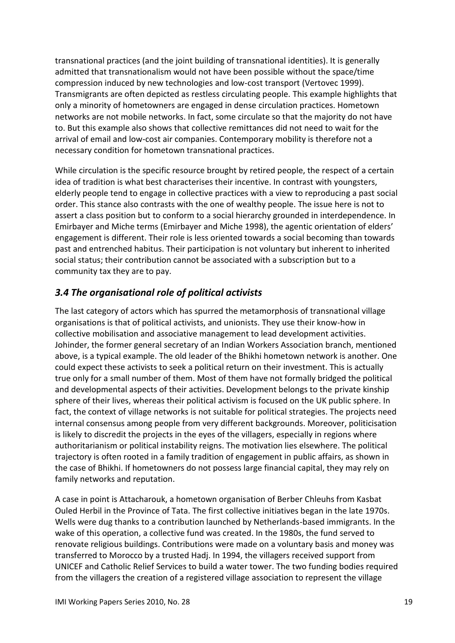transnational practices (and the joint building of transnational identities). It is generally admitted that transnationalism would not have been possible without the space/time compression induced by new technologies and low-cost transport (Vertovec 1999). Transmigrants are often depicted as restless circulating people. This example highlights that only a minority of hometowners are engaged in dense circulation practices. Hometown networks are not mobile networks. In fact, some circulate so that the majority do not have to. But this example also shows that collective remittances did not need to wait for the arrival of email and low-cost air companies. Contemporary mobility is therefore not a necessary condition for hometown transnational practices.

While circulation is the specific resource brought by retired people, the respect of a certain idea of tradition is what best characterises their incentive. In contrast with youngsters, elderly people tend to engage in collective practices with a view to reproducing a past social order. This stance also contrasts with the one of wealthy people. The issue here is not to assert a class position but to conform to a social hierarchy grounded in interdependence. In Emirbayer and Miche terms (Emirbayer and Miche 1998), the agentic orientation of elders' engagement is different. Their role is less oriented towards a social becoming than towards past and entrenched habitus. Their participation is not voluntary but inherent to inherited social status; their contribution cannot be associated with a subscription but to a community tax they are to pay.

## <span id="page-18-0"></span>*3.4 The organisational role of political activists*

The last category of actors which has spurred the metamorphosis of transnational village organisations is that of political activists, and unionists. They use their know-how in collective mobilisation and associative management to lead development activities. Johinder, the former general secretary of an Indian Workers Association branch, mentioned above, is a typical example. The old leader of the Bhikhi hometown network is another. One could expect these activists to seek a political return on their investment. This is actually true only for a small number of them. Most of them have not formally bridged the political and developmental aspects of their activities. Development belongs to the private kinship sphere of their lives, whereas their political activism is focused on the UK public sphere. In fact, the context of village networks is not suitable for political strategies. The projects need internal consensus among people from very different backgrounds. Moreover, politicisation is likely to discredit the projects in the eyes of the villagers, especially in regions where authoritarianism or political instability reigns. The motivation lies elsewhere. The political trajectory is often rooted in a family tradition of engagement in public affairs, as shown in the case of Bhikhi. If hometowners do not possess large financial capital, they may rely on family networks and reputation.

A case in point is Attacharouk, a hometown organisation of Berber Chleuhs from Kasbat Ouled Herbil in the Province of Tata. The first collective initiatives began in the late 1970s. Wells were dug thanks to a contribution launched by Netherlands-based immigrants. In the wake of this operation, a collective fund was created. In the 1980s, the fund served to renovate religious buildings. Contributions were made on a voluntary basis and money was transferred to Morocco by a trusted Hadj. In 1994, the villagers received support from UNICEF and Catholic Relief Services to build a water tower. The two funding bodies required from the villagers the creation of a registered village association to represent the village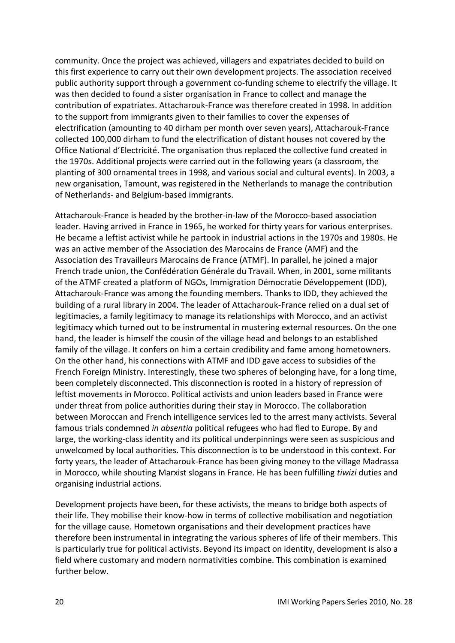community. Once the project was achieved, villagers and expatriates decided to build on this first experience to carry out their own development projects. The association received public authority support through a government co-funding scheme to electrify the village. It was then decided to found a sister organisation in France to collect and manage the contribution of expatriates. Attacharouk-France was therefore created in 1998. In addition to the support from immigrants given to their families to cover the expenses of electrification (amounting to 40 dirham per month over seven years), Attacharouk-France collected 100,000 dirham to fund the electrification of distant houses not covered by the Office National d'Electricité. The organisation thus replaced the collective fund created in the 1970s. Additional projects were carried out in the following years (a classroom, the planting of 300 ornamental trees in 1998, and various social and cultural events). In 2003, a new organisation, Tamount, was registered in the Netherlands to manage the contribution of Netherlands- and Belgium-based immigrants.

Attacharouk-France is headed by the brother-in-law of the Morocco-based association leader. Having arrived in France in 1965, he worked for thirty years for various enterprises. He became a leftist activist while he partook in industrial actions in the 1970s and 1980s. He was an active member of the Association des Marocains de France (AMF) and the Association des Travailleurs Marocains de France (ATMF). In parallel, he joined a major French trade union, the Confédération Générale du Travail. When, in 2001, some militants of the ATMF created a platform of NGOs, Immigration Démocratie Développement (IDD), Attacharouk-France was among the founding members. Thanks to IDD, they achieved the building of a rural library in 2004. The leader of Attacharouk-France relied on a dual set of legitimacies, a family legitimacy to manage its relationships with Morocco, and an activist legitimacy which turned out to be instrumental in mustering external resources. On the one hand, the leader is himself the cousin of the village head and belongs to an established family of the village. It confers on him a certain credibility and fame among hometowners. On the other hand, his connections with ATMF and IDD gave access to subsidies of the French Foreign Ministry. Interestingly, these two spheres of belonging have, for a long time, been completely disconnected. This disconnection is rooted in a history of repression of leftist movements in Morocco. Political activists and union leaders based in France were under threat from police authorities during their stay in Morocco. The collaboration between Moroccan and French intelligence services led to the arrest many activists. Several famous trials condemned *in absentia* political refugees who had fled to Europe. By and large, the working-class identity and its political underpinnings were seen as suspicious and unwelcomed by local authorities. This disconnection is to be understood in this context. For forty years, the leader of Attacharouk-France has been giving money to the village Madrassa in Morocco, while shouting Marxist slogans in France. He has been fulfilling *tiwizi* duties and organising industrial actions.

Development projects have been, for these activists, the means to bridge both aspects of their life. They mobilise their know-how in terms of collective mobilisation and negotiation for the village cause. Hometown organisations and their development practices have therefore been instrumental in integrating the various spheres of life of their members. This is particularly true for political activists. Beyond its impact on identity, development is also a field where customary and modern normativities combine. This combination is examined further below.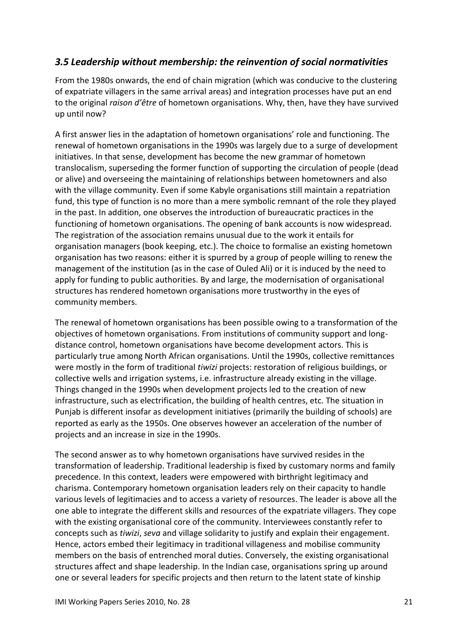## <span id="page-20-0"></span>*3.5 Leadership without membership: the reinvention of social normativities*

From the 1980s onwards, the end of chain migration (which was conducive to the clustering of expatriate villagers in the same arrival areas) and integration processes have put an end to the original *raison d'être* of hometown organisations. Why, then, have they have survived up until now?

A first answer lies in the adaptation of hometown organisations' role and functioning. The renewal of hometown organisations in the 1990s was largely due to a surge of development initiatives. In that sense, development has become the new grammar of hometown translocalism, superseding the former function of supporting the circulation of people (dead or alive) and overseeing the maintaining of relationships between hometowners and also with the village community. Even if some Kabyle organisations still maintain a repatriation fund, this type of function is no more than a mere symbolic remnant of the role they played in the past. In addition, one observes the introduction of bureaucratic practices in the functioning of hometown organisations. The opening of bank accounts is now widespread. The registration of the association remains unusual due to the work it entails for organisation managers (book keeping, etc.). The choice to formalise an existing hometown organisation has two reasons: either it is spurred by a group of people willing to renew the management of the institution (as in the case of Ouled Ali) or it is induced by the need to apply for funding to public authorities. By and large, the modernisation of organisational structures has rendered hometown organisations more trustworthy in the eyes of community members.

The renewal of hometown organisations has been possible owing to a transformation of the objectives of hometown organisations. From institutions of community support and longdistance control, hometown organisations have become development actors. This is particularly true among North African organisations. Until the 1990s, collective remittances were mostly in the form of traditional *tiwizi* projects: restoration of religious buildings, or collective wells and irrigation systems, i.e. infrastructure already existing in the village. Things changed in the 1990s when development projects led to the creation of new infrastructure, such as electrification, the building of health centres, etc. The situation in Punjab is different insofar as development initiatives (primarily the building of schools) are reported as early as the 1950s. One observes however an acceleration of the number of projects and an increase in size in the 1990s.

The second answer as to why hometown organisations have survived resides in the transformation of leadership. Traditional leadership is fixed by customary norms and family precedence. In this context, leaders were empowered with birthright legitimacy and charisma. Contemporary hometown organisation leaders rely on their capacity to handle various levels of legitimacies and to access a variety of resources. The leader is above all the one able to integrate the different skills and resources of the expatriate villagers. They cope with the existing organisational core of the community. Interviewees constantly refer to concepts such as *tiwizi*, *seva* and village solidarity to justify and explain their engagement. Hence, actors embed their legitimacy in traditional villageness and mobilise community members on the basis of entrenched moral duties. Conversely, the existing organisational structures affect and shape leadership. In the Indian case, organisations spring up around one or several leaders for specific projects and then return to the latent state of kinship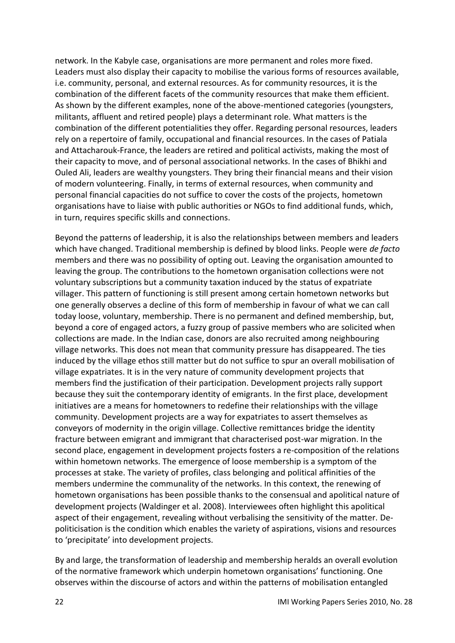network. In the Kabyle case, organisations are more permanent and roles more fixed. Leaders must also display their capacity to mobilise the various forms of resources available, i.e. community, personal, and external resources. As for community resources, it is the combination of the different facets of the community resources that make them efficient. As shown by the different examples, none of the above-mentioned categories (youngsters, militants, affluent and retired people) plays a determinant role. What matters is the combination of the different potentialities they offer. Regarding personal resources, leaders rely on a repertoire of family, occupational and financial resources. In the cases of Patiala and Attacharouk-France, the leaders are retired and political activists, making the most of their capacity to move, and of personal associational networks. In the cases of Bhikhi and Ouled Ali, leaders are wealthy youngsters. They bring their financial means and their vision of modern volunteering. Finally, in terms of external resources, when community and personal financial capacities do not suffice to cover the costs of the projects, hometown organisations have to liaise with public authorities or NGOs to find additional funds, which, in turn, requires specific skills and connections.

Beyond the patterns of leadership, it is also the relationships between members and leaders which have changed. Traditional membership is defined by blood links. People were *de facto* members and there was no possibility of opting out. Leaving the organisation amounted to leaving the group. The contributions to the hometown organisation collections were not voluntary subscriptions but a community taxation induced by the status of expatriate villager. This pattern of functioning is still present among certain hometown networks but one generally observes a decline of this form of membership in favour of what we can call today loose, voluntary, membership. There is no permanent and defined membership, but, beyond a core of engaged actors, a fuzzy group of passive members who are solicited when collections are made. In the Indian case, donors are also recruited among neighbouring village networks. This does not mean that community pressure has disappeared. The ties induced by the village ethos still matter but do not suffice to spur an overall mobilisation of village expatriates. It is in the very nature of community development projects that members find the justification of their participation. Development projects rally support because they suit the contemporary identity of emigrants. In the first place, development initiatives are a means for hometowners to redefine their relationships with the village community. Development projects are a way for expatriates to assert themselves as conveyors of modernity in the origin village. Collective remittances bridge the identity fracture between emigrant and immigrant that characterised post-war migration. In the second place, engagement in development projects fosters a re-composition of the relations within hometown networks. The emergence of loose membership is a symptom of the processes at stake. The variety of profiles, class belonging and political affinities of the members undermine the communality of the networks. In this context, the renewing of hometown organisations has been possible thanks to the consensual and apolitical nature of development projects (Waldinger et al. 2008). Interviewees often highlight this apolitical aspect of their engagement, revealing without verbalising the sensitivity of the matter. Depoliticisation is the condition which enables the variety of aspirations, visions and resources to 'precipitate' into development projects.

By and large, the transformation of leadership and membership heralds an overall evolution of the normative framework which underpin hometown organisations' functioning. One observes within the discourse of actors and within the patterns of mobilisation entangled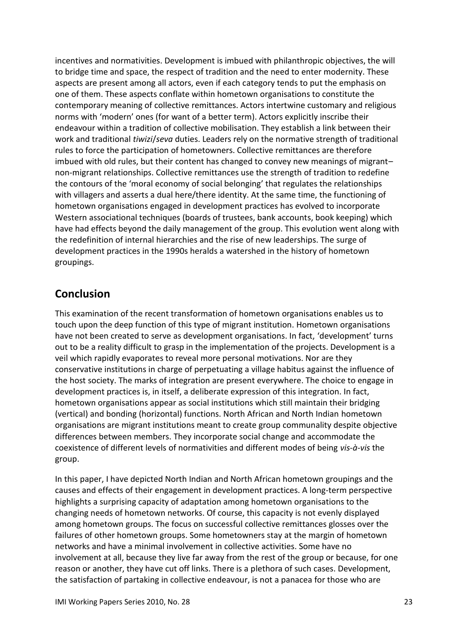incentives and normativities. Development is imbued with philanthropic objectives, the will to bridge time and space, the respect of tradition and the need to enter modernity. These aspects are present among all actors, even if each category tends to put the emphasis on one of them. These aspects conflate within hometown organisations to constitute the contemporary meaning of collective remittances. Actors intertwine customary and religious norms with 'modern' ones (for want of a better term). Actors explicitly inscribe their endeavour within a tradition of collective mobilisation. They establish a link between their work and traditional *tiwizi*/*seva* duties. Leaders rely on the normative strength of traditional rules to force the participation of hometowners. Collective remittances are therefore imbued with old rules, but their content has changed to convey new meanings of migrant– non-migrant relationships. Collective remittances use the strength of tradition to redefine the contours of the 'moral economy of social belonging' that regulates the relationships with villagers and asserts a dual here/there identity. At the same time, the functioning of hometown organisations engaged in development practices has evolved to incorporate Western associational techniques (boards of trustees, bank accounts, book keeping) which have had effects beyond the daily management of the group. This evolution went along with the redefinition of internal hierarchies and the rise of new leaderships. The surge of development practices in the 1990s heralds a watershed in the history of hometown groupings.

# <span id="page-22-0"></span>**Conclusion**

This examination of the recent transformation of hometown organisations enables us to touch upon the deep function of this type of migrant institution. Hometown organisations have not been created to serve as development organisations. In fact, 'development' turns out to be a reality difficult to grasp in the implementation of the projects. Development is a veil which rapidly evaporates to reveal more personal motivations. Nor are they conservative institutions in charge of perpetuating a village habitus against the influence of the host society. The marks of integration are present everywhere. The choice to engage in development practices is, in itself, a deliberate expression of this integration. In fact, hometown organisations appear as social institutions which still maintain their bridging (vertical) and bonding (horizontal) functions. North African and North Indian hometown organisations are migrant institutions meant to create group communality despite objective differences between members. They incorporate social change and accommodate the coexistence of different levels of normativities and different modes of being *vis-à-vis* the group.

In this paper, I have depicted North Indian and North African hometown groupings and the causes and effects of their engagement in development practices. A long-term perspective highlights a surprising capacity of adaptation among hometown organisations to the changing needs of hometown networks. Of course, this capacity is not evenly displayed among hometown groups. The focus on successful collective remittances glosses over the failures of other hometown groups. Some hometowners stay at the margin of hometown networks and have a minimal involvement in collective activities. Some have no involvement at all, because they live far away from the rest of the group or because, for one reason or another, they have cut off links. There is a plethora of such cases. Development, the satisfaction of partaking in collective endeavour, is not a panacea for those who are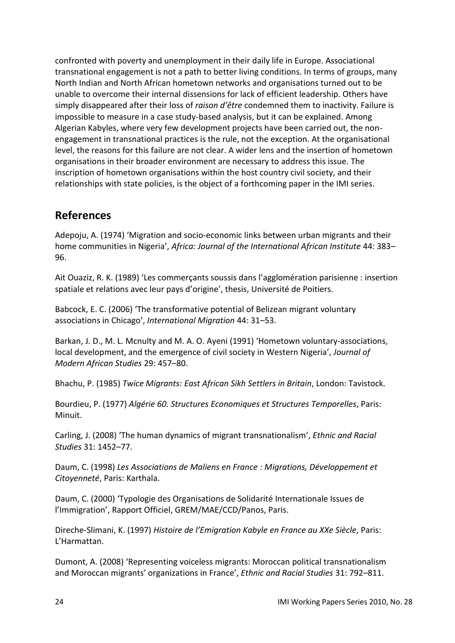confronted with poverty and unemployment in their daily life in Europe. Associational transnational engagement is not a path to better living conditions. In terms of groups, many North Indian and North African hometown networks and organisations turned out to be unable to overcome their internal dissensions for lack of efficient leadership. Others have simply disappeared after their loss of *raison d'être* condemned them to inactivity. Failure is impossible to measure in a case study-based analysis, but it can be explained. Among Algerian Kabyles, where very few development projects have been carried out, the nonengagement in transnational practices is the rule, not the exception. At the organisational level, the reasons for this failure are not clear. A wider lens and the insertion of hometown organisations in their broader environment are necessary to address this issue. The inscription of hometown organisations within the host country civil society, and their relationships with state policies, is the object of a forthcoming paper in the IMI series.

# <span id="page-23-0"></span>**References**

Adepoju, A. (1974) 'Migration and socio-economic links between urban migrants and their home communities in Nigeria', *Africa: Journal of the International African Institute* 44: 383– 96.

Ait Ouaziz, R. K. (1989) 'Les commerçants soussis dans l'agglomération parisienne : insertion spatiale et relations avec leur pays d'origine', thesis, Université de Poitiers.

Babcock, E. C. (2006) 'The transformative potential of Belizean migrant voluntary associations in Chicago', *International Migration* 44: 31–53.

Barkan, J. D., M. L. Mcnulty and M. A. O. Ayeni (1991) 'Hometown voluntary-associations, local development, and the emergence of civil society in Western Nigeria', *Journal of Modern African Studies* 29: 457–80.

Bhachu, P. (1985) *Twice Migrants: East African Sikh Settlers in Britain*, London: Tavistock.

Bourdieu, P. (1977) *Algérie 60. Structures Economiques et Structures Temporelles*, Paris: Minuit.

Carling, J. (2008) 'The human dynamics of migrant transnationalism', *Ethnic and Racial Studies* 31: 1452–77.

Daum, C. (1998) *Les Associations de Maliens en France : Migrations, Développement et Citoyenneté*, Paris: Karthala.

Daum, C. (2000) 'Typologie des Organisations de Solidarité Internationale Issues de l'Immigration', Rapport Officiel, GREM/MAE/CCD/Panos, Paris.

Direche-Slimani, K. (1997) *Histoire de l'Emigration Kabyle en France au XXe Siècle*, Paris: L'Harmattan.

Dumont, A. (2008) 'Representing voiceless migrants: Moroccan political transnationalism and Moroccan migrants' organizations in France', *Ethnic and Racial Studies* 31: 792–811.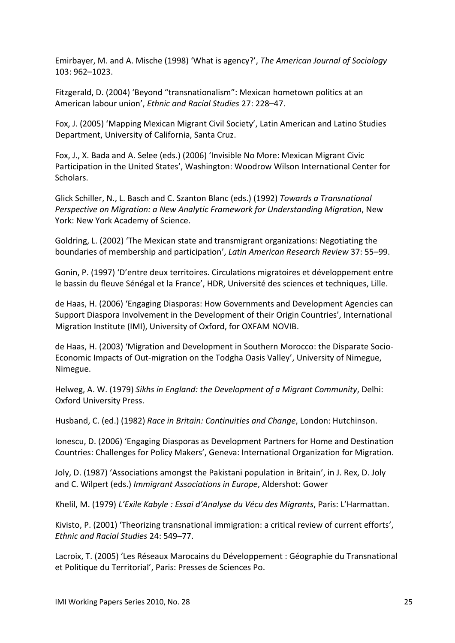Emirbayer, M. and A. Mische (1998) 'What is agency?', *The American Journal of Sociology*  103: 962–1023.

Fitzgerald, D. (2004) 'Beyond "transnationalism": Mexican hometown politics at an American labour union', *Ethnic and Racial Studies* 27: 228–47.

Fox, J. (2005) 'Mapping Mexican Migrant Civil Society', Latin American and Latino Studies Department, University of California, Santa Cruz.

Fox, J., X. Bada and A. Selee (eds.) (2006) 'Invisible No More: Mexican Migrant Civic Participation in the United States', Washington: Woodrow Wilson International Center for Scholars.

Glick Schiller, N., L. Basch and C. Szanton Blanc (eds.) (1992) *Towards a Transnational Perspective on Migration: a New Analytic Framework for Understanding Migration*, New York: New York Academy of Science.

Goldring, L. (2002) 'The Mexican state and transmigrant organizations: Negotiating the boundaries of membership and participation', *Latin American Research Review* 37: 55–99.

Gonin, P. (1997) 'D'entre deux territoires. Circulations migratoires et développement entre le bassin du fleuve Sénégal et la France', HDR, Université des sciences et techniques, Lille.

de Haas, H. (2006) 'Engaging Diasporas: How Governments and Development Agencies can Support Diaspora Involvement in the Development of their Origin Countries', International Migration Institute (IMI), University of Oxford, for OXFAM NOVIB.

de Haas, H. (2003) 'Migration and Development in Southern Morocco: the Disparate Socio-Economic Impacts of Out-migration on the Todgha Oasis Valley', University of Nimegue, Nimegue.

Helweg, A. W. (1979) *Sikhs in England: the Development of a Migrant Community*, Delhi: Oxford University Press.

Husband, C. (ed.) (1982) *Race in Britain: Continuities and Change*, London: Hutchinson.

Ionescu, D. (2006) 'Engaging Diasporas as Development Partners for Home and Destination Countries: Challenges for Policy Makers', Geneva: International Organization for Migration.

Joly, D. (1987) 'Associations amongst the Pakistani population in Britain', in J. Rex, D. Joly and C. Wilpert (eds.) *Immigrant Associations in Europe*, Aldershot: Gower

Khelil, M. (1979) *L'Exile Kabyle : Essai d'Analyse du Vécu des Migrants*, Paris: L'Harmattan.

Kivisto, P. (2001) 'Theorizing transnational immigration: a critical review of current efforts', *Ethnic and Racial Studies* 24: 549–77.

Lacroix, T. (2005) 'Les Réseaux Marocains du Développement : Géographie du Transnational et Politique du Territorial', Paris: Presses de Sciences Po.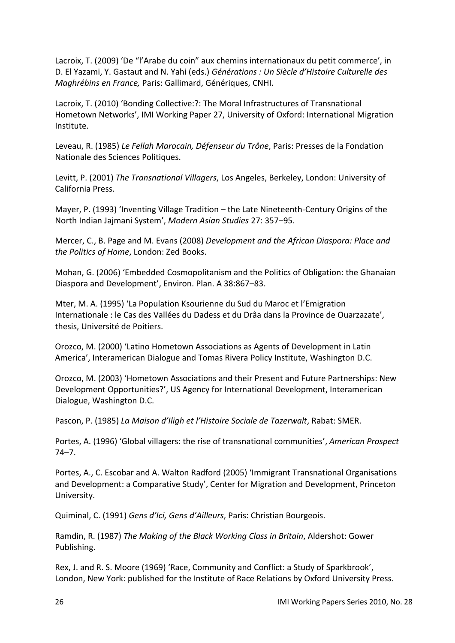Lacroix, T. (2009) 'De "l'Arabe du coin" aux chemins internationaux du petit commerce', in D. El Yazami, Y. Gastaut and N. Yahi (eds.) *Générations : Un Siècle d'Histoire Culturelle des Maghrébins en France,* Paris: Gallimard, Génériques, CNHI.

Lacroix, T. (2010) 'Bonding Collective:?: The Moral Infrastructures of Transnational Hometown Networks', IMI Working Paper 27, University of Oxford: International Migration Institute.

Leveau, R. (1985) *Le Fellah Marocain, Défenseur du Trône*, Paris: Presses de la Fondation Nationale des Sciences Politiques.

Levitt, P. (2001) *The Transnational Villagers*, Los Angeles, Berkeley, London: University of California Press.

Mayer, P. (1993) 'Inventing Village Tradition – the Late Nineteenth-Century Origins of the North Indian Jajmani System', *Modern Asian Studies* 27: 357–95.

Mercer, C., B. Page and M. Evans (2008) *Development and the African Diaspora: Place and the Politics of Home*, London: Zed Books.

Mohan, G. (2006) 'Embedded Cosmopolitanism and the Politics of Obligation: the Ghanaian Diaspora and Development', Environ. Plan. A 38:867–83.

Mter, M. A. (1995) 'La Population Ksourienne du Sud du Maroc et l'Emigration Internationale : le Cas des Vallées du Dadess et du Drâa dans la Province de Ouarzazate', thesis, Université de Poitiers.

Orozco, M. (2000) 'Latino Hometown Associations as Agents of Development in Latin America', Interamerican Dialogue and Tomas Rivera Policy Institute, Washington D.C.

Orozco, M. (2003) 'Hometown Associations and their Present and Future Partnerships: New Development Opportunities?', US Agency for International Development, Interamerican Dialogue, Washington D.C.

Pascon, P. (1985) *La Maison d'Iligh et l'Histoire Sociale de Tazerwalt*, Rabat: SMER.

Portes, A. (1996) 'Global villagers: the rise of transnational communities', *American Prospect* 74–7.

Portes, A., C. Escobar and A. Walton Radford (2005) 'Immigrant Transnational Organisations and Development: a Comparative Study', Center for Migration and Development, Princeton University.

Quiminal, C. (1991) *Gens d'Ici, Gens d'Ailleurs*, Paris: Christian Bourgeois.

Ramdin, R. (1987) *The Making of the Black Working Class in Britain*, Aldershot: Gower Publishing.

Rex, J. and R. S. Moore (1969) 'Race, Community and Conflict: a Study of Sparkbrook', London, New York: published for the Institute of Race Relations by Oxford University Press.